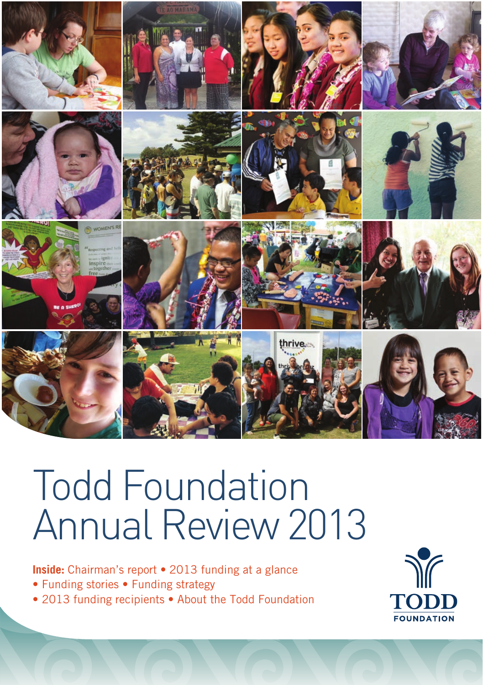

# Todd Foundation Annual Review 2013

**Inside:** Chairman's report • 2013 funding at a glance

- Funding stories Funding strategy
- 2013 funding recipients About the Todd Foundation

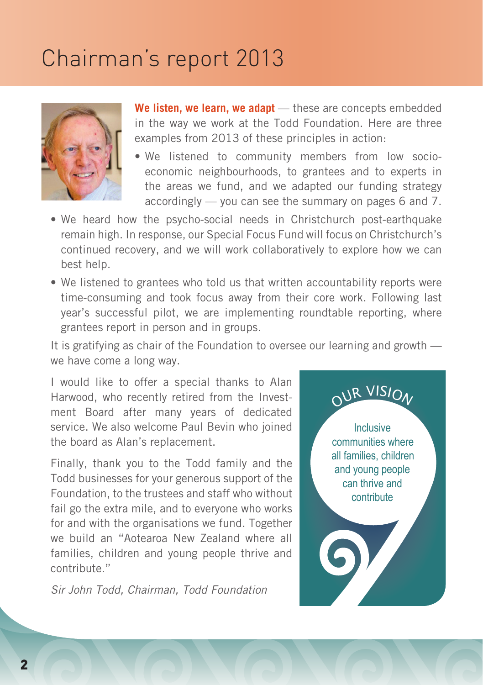# Chairman's report 2013



**We listen, we learn, we adapt** — these are concepts embedded in the way we work at the Todd Foundation. Here are three examples from 2013 of these principles in action:

- We listened to community members from low socioeconomic neighbourhoods, to grantees and to experts in the areas we fund, and we adapted our funding strategy accordingly — you can see the summary on pages 6 and 7.
- We heard how the psycho-social needs in Christchurch post-earthquake remain high. In response, our Special Focus Fund will focus on Christchurch's continued recovery, and we will work collaboratively to explore how we can best help.
- We listened to grantees who told us that written accountability reports were time-consuming and took focus away from their core work. Following last year's successful pilot, we are implementing roundtable reporting, where grantees report in person and in groups.

It is gratifying as chair of the Foundation to oversee our learning and growth we have come a long way.

I would like to offer a special thanks to Alan Harwood, who recently retired from the Investment Board after many years of dedicated service. We also welcome Paul Bevin who joined the board as Alan's replacement.

Finally, thank you to the Todd family and the Todd businesses for your generous support of the Foundation, to the trustees and staff who without fail go the extra mile, and to everyone who works for and with the organisations we fund. Together we build an "Aotearoa New Zealand where all families, children and young people thrive and contribute."

Sir John Todd, Chairman, Todd Foundation

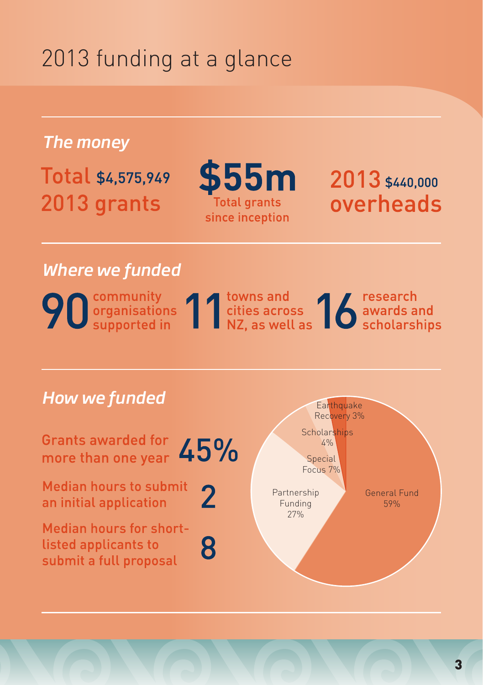# 2013 funding at a glance

*The money*

Total \$4,575,949 2013 grants



2013 \$440,000 overheads

## *Where we funded*

90 community<br>
Supported in 11 and supported in 11 and supported in 12 as well as 16 scholarships

### *How we funded*

**Grants awarded for** 45% more than one year

**Median hours to submit** an initial application

 $\overline{2}$ 8

Median hours for shortlisted applicants to submit a full proposal

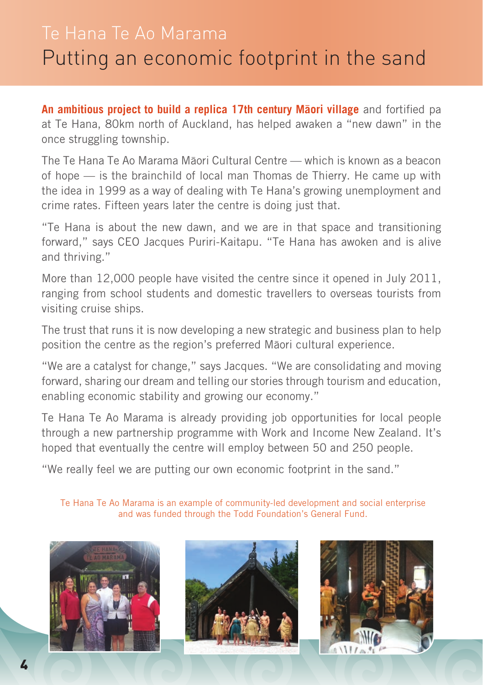# Te Hana Te Ao Marama Putting an economic footprint in the sand

**An ambitious project to build a replica 17th century Måori village** and fortified pa at Te Hana, 80km north of Auckland, has helped awaken a "new dawn" in the once struggling township.

The Te Hana Te Ao Marama Måori Cultural Centre — which is known as a beacon of hope — is the brainchild of local man Thomas de Thierry. He came up with the idea in 1999 as a way of dealing with Te Hana's growing unemployment and crime rates. Fifteen years later the centre is doing just that.

"Te Hana is about the new dawn, and we are in that space and transitioning forward," says CEO Jacques Puriri-Kaitapu. "Te Hana has awoken and is alive and thriving."

More than 12,000 people have visited the centre since it opened in July 2011, ranging from school students and domestic travellers to overseas tourists from visiting cruise ships.

The trust that runs it is now developing a new strategic and business plan to help position the centre as the region's preferred Måori cultural experience.

"We are a catalyst for change," says Jacques. "We are consolidating and moving forward, sharing our dream and telling our stories through tourism and education, enabling economic stability and growing our economy."

Te Hana Te Ao Marama is already providing job opportunities for local people through a new partnership programme with Work and Income New Zealand. It's hoped that eventually the centre will employ between 50 and 250 people.

"We really feel we are putting our own economic footprint in the sand."

Te Hana Te Ao Marama is an example of community-led development and social enterprise and was funded through the Todd Foundation's General Fund.





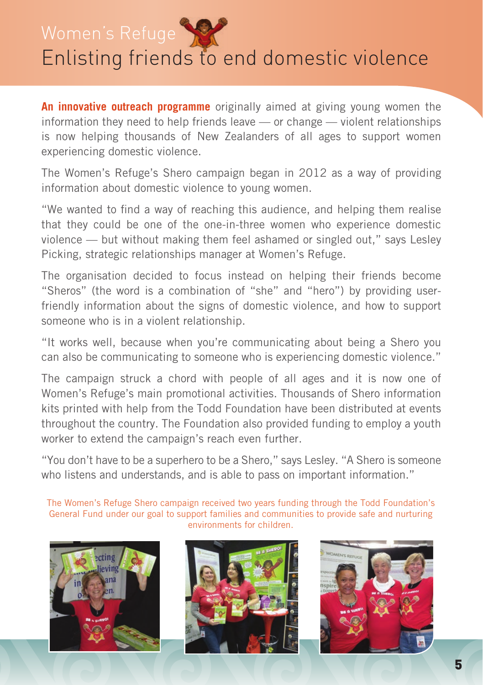Women's Refuge



# Enlisting friends to end domestic violence

**An innovative outreach programme** originally aimed at giving young women the information they need to help friends leave — or change — violent relationships is now helping thousands of New Zealanders of all ages to support women experiencing domestic violence.

The Women's Refuge's Shero campaign began in 2012 as a way of providing information about domestic violence to young women.

"We wanted to find a way of reaching this audience, and helping them realise that they could be one of the one-in-three women who experience domestic violence — but without making them feel ashamed or singled out," says Lesley Picking, strategic relationships manager at Women's Refuge.

The organisation decided to focus instead on helping their friends become "Sheros" (the word is a combination of "she" and "hero") by providing userfriendly information about the signs of domestic violence, and how to support someone who is in a violent relationship.

"It works well, because when you're communicating about being a Shero you can also be communicating to someone who is experiencing domestic violence."

The campaign struck a chord with people of all ages and it is now one of Women's Refuge's main promotional activities. Thousands of Shero information kits printed with help from the Todd Foundation have been distributed at events throughout the country. The Foundation also provided funding to employ a youth worker to extend the campaign's reach even further.

"You don't have to be a superhero to be a Shero," says Lesley. "A Shero is someone who listens and understands, and is able to pass on important information."

The Women's Refuge Shero campaign received two years funding through the Todd Foundation's General Fund under our goal to support families and communities to provide safe and nurturing environments for children.





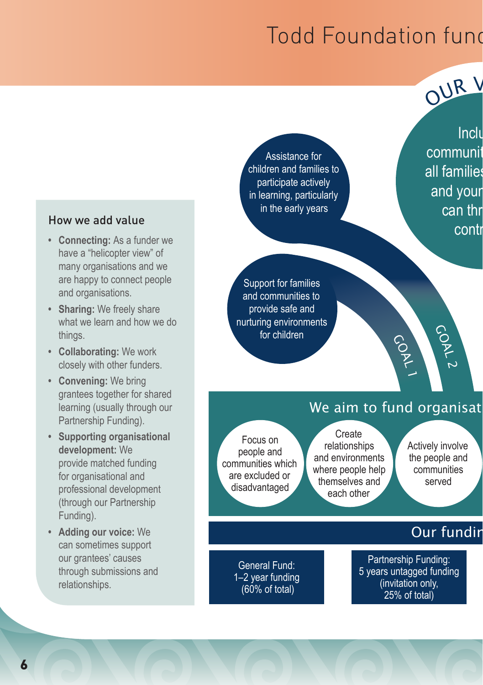# Todd Foundation fund



Assistance for children and families to participate actively in learning, particularly in the early years

Inclu communit all families and your can thr contr

Support for families and communities to provide safe and nurturing environments for children

### We aim to fund organisat

GOAL 1

Focus on people and communities which are excluded or disadvantaged

> General Fund: 1–2 year funding (60% of total)

Create relationships and environments where people help themselves and each other

Actively involve the people and communities served

COAL

ب

## Our fundir

Partnership Funding: 5 years untagged funding (invitation only, 25% of total)

### How we add value

- **• Connecting:** As a funder we have a "helicopter view" of many organisations and we are happy to connect people and organisations.
- **• Sharing:** We freely share what we learn and how we do things.
- **• Collaborating:** We work closely with other funders.
- **• Convening:** We bring grantees together for shared learning (usually through our Partnership Funding).
- **• Supporting organisational development:** We provide matched funding for organisational and professional development (through our Partnership Funding).
- **• Adding our voice:** We can sometimes support our grantees' causes through submissions and relationships.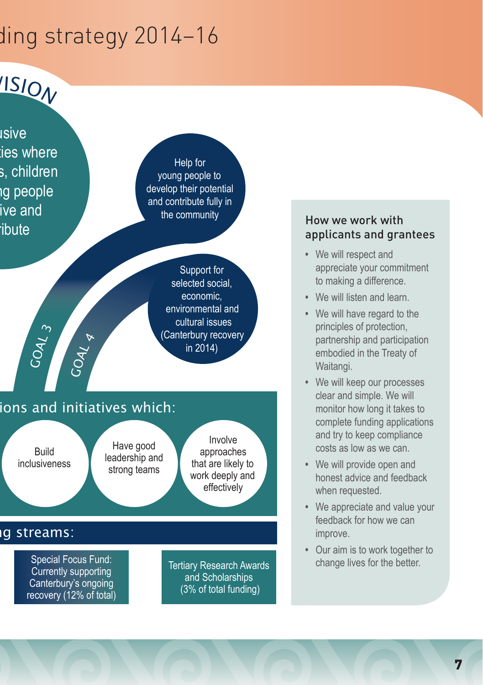# ding strategy 2014–16



### How we work with applicants and grantees

- **•**  We will respect and appreciate your commitment to making a difference.
- **•**  We will listen and learn.
- **•**  We will have regard to the principles of protection, partnership and participation embodied in the Treaty of Waitangi.
- **•**  We will keep our processes clear and simple. We will monitor how long it takes to complete funding applications and try to keep compliance costs as low as we can.
- **•**  We will provide open and honest advice and feedback when requested.
- **•**  We appreciate and value your feedback for how we can improve.
- **•**  Our aim is to work together to change lives for the better.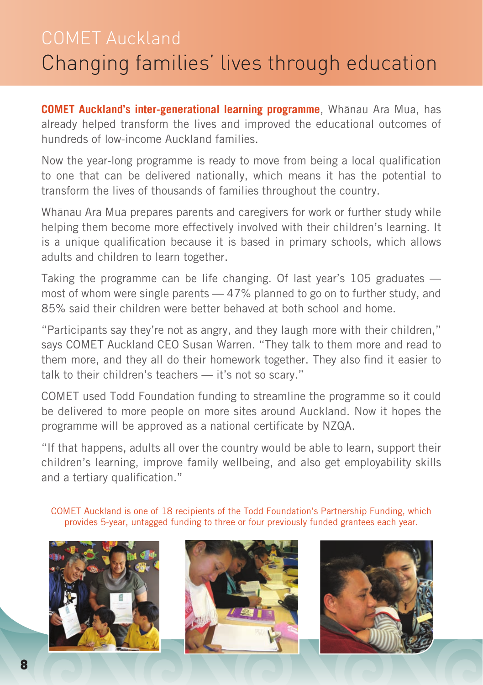# COMET Auckland Changing families' lives through education

**COMET Auckland's inter-generational learning programme**, Whånau Ara Mua, has already helped transform the lives and improved the educational outcomes of hundreds of low-income Auckland families.

Now the year-long programme is ready to move from being a local qualification to one that can be delivered nationally, which means it has the potential to transform the lives of thousands of families throughout the country.

Whånau Ara Mua prepares parents and caregivers for work or further study while helping them become more effectively involved with their children's learning. It is a unique qualification because it is based in primary schools, which allows adults and children to learn together.

Taking the programme can be life changing. Of last year's 105 graduates most of whom were single parents — 47% planned to go on to further study, and 85% said their children were better behaved at both school and home.

"Participants say they're not as angry, and they laugh more with their children," says COMET Auckland CEO Susan Warren. "They talk to them more and read to them more, and they all do their homework together. They also find it easier to talk to their children's teachers — it's not so scary."

COMET used Todd Foundation funding to streamline the programme so it could be delivered to more people on more sites around Auckland. Now it hopes the programme will be approved as a national certificate by NZQA.

"If that happens, adults all over the country would be able to learn, support their children's learning, improve family wellbeing, and also get employability skills and a tertiary qualification."

COMET Auckland is one of 18 recipients of the Todd Foundation's Partnership Funding, which provides 5-year, untagged funding to three or four previously funded grantees each year.





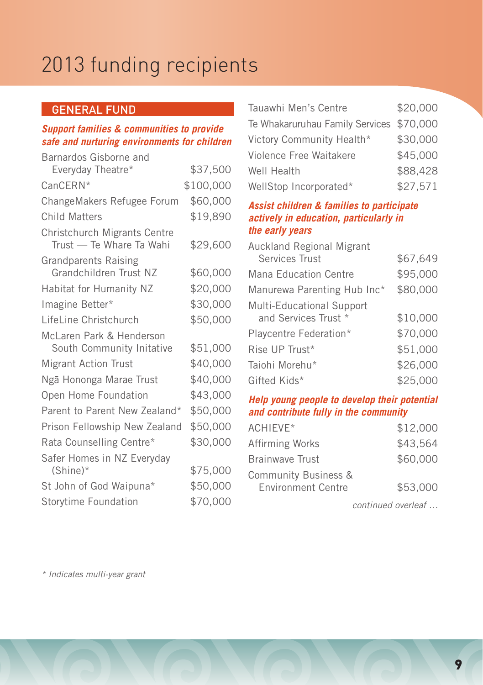# 2013 funding recipients

### General Fund

#### *Support families & communities to provide safe and nurturing environments for children*

| Barnardos Gisborne and                                   |           |
|----------------------------------------------------------|-----------|
| Everyday Theatre*                                        | \$37,500  |
| CanCERN*                                                 | \$100,000 |
| ChangeMakers Refugee Forum                               | \$60,000  |
| Child Matters                                            | \$19,890  |
| Christchurch Migrants Centre<br>Trust - Te Whare Ta Wahi | \$29,600  |
| <b>Grandparents Raising</b><br>Grandchildren Trust NZ    | \$60,000  |
| Habitat for Humanity NZ                                  | \$20,000  |
| Imagine Better*                                          | \$30,000  |
| LifeLine Christchurch                                    | \$50,000  |
| McLaren Park & Henderson<br>South Community Initative    | \$51,000  |
| <b>Migrant Action Trust</b>                              | \$40,000  |
| Ngā Hononga Marae Trust                                  | \$40,000  |
| Open Home Foundation                                     | \$43,000  |
| Parent to Parent New Zealand*                            | \$50,000  |
| Prison Fellowship New Zealand                            | \$50,000  |
| Rata Counselling Centre*                                 | \$30,000  |
| Safer Homes in NZ Everyday<br>$(Shine)*$                 | \$75,000  |
| St John of God Waipuna*                                  | \$50,000  |
| Storytime Foundation                                     | \$70,000  |
|                                                          |           |

| Tauawhi Men's Centre                     | \$20,000 |
|------------------------------------------|----------|
| Te Whakaruruhau Family Services \$70,000 |          |
| Victory Community Health*                | \$30,000 |
| Violence Free Waitakere                  | \$45,000 |
| Well Health                              | \$88,428 |
| WellStop Incorporated*                   | \$27,571 |
|                                          |          |

#### *Assist children & families to participate actively in education, particularly in the early years*

| \$67,649 |
|----------|
| \$95,000 |
| \$80,000 |
|          |
| \$10,000 |
| \$70,000 |
| \$51,000 |
| \$26,000 |
| \$25,000 |
|          |

#### *Help young people to develop their potential and contribute fully in the community*

| ACHIFVF*                                          | \$12,000 |
|---------------------------------------------------|----------|
| Affirming Works                                   | \$43.564 |
| <b>Brainwave Trust</b>                            | \$60,000 |
| Community Business &<br><b>Environment Centre</b> | \$53,000 |

continued overleaf …

\* Indicates multi-year grant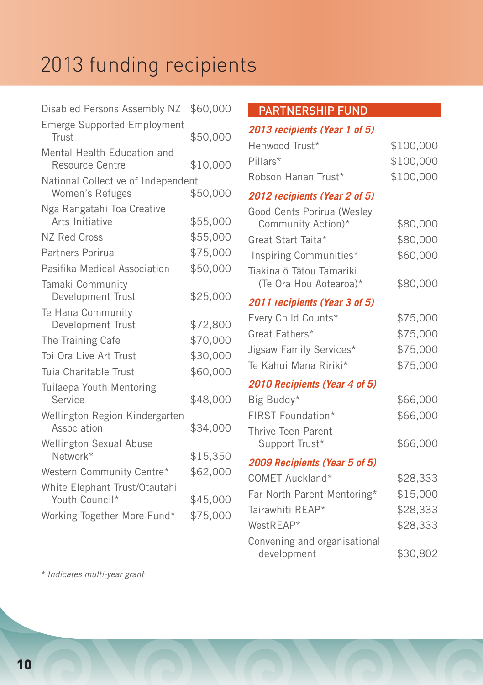# 2013 funding recipients

| Disabled Persons Assembly NZ                          | \$60,000 |
|-------------------------------------------------------|----------|
| <b>Emerge Supported Employment</b><br>Trust           | \$50,000 |
| Mental Health Education and<br>Resource Centre        | \$10,000 |
| National Collective of Independent<br>Women's Refuges | \$50,000 |
| Nga Rangatahi Toa Creative<br>Arts Initiative         | \$55,000 |
| NZ Red Cross                                          | \$55,000 |
| Partners Porirua                                      | \$75,000 |
| Pasifika Medical Association                          | \$50,000 |
| Tamaki Community<br>Development Trust                 | \$25,000 |
| Te Hana Community<br>Development Trust                | \$72,800 |
| The Training Cafe                                     | \$70,000 |
| Toi Ora Live Art Trust                                | \$30,000 |
| Tuia Charitable Trust                                 | \$60,000 |
| Tuilaepa Youth Mentoring<br>Service                   | \$48,000 |
| Wellington Region Kindergarten<br>Association         | \$34,000 |
| <b>Wellington Sexual Abuse</b><br>Network*            | \$15,350 |
| Western Community Centre*                             | \$62,000 |
| White Elephant Trust/Otautahi<br>Youth Council*       | \$45,000 |
| Working Together More Fund*                           | \$75,000 |

### Partnership Fund

### *2013 recipients (Year 1 of 5)*

| Henwood Trust*      | \$100,000 |
|---------------------|-----------|
| Pillars*            | \$100,000 |
| Robson Hanan Trust* | \$100,000 |

### *2012 recipients (Year 2 of 5)*

| Good Cents Porirua (Wesley                         |          |
|----------------------------------------------------|----------|
| Community Action)*                                 | \$80,000 |
| Great Start Taita*                                 | \$80,000 |
| Inspiring Communities*                             | \$60,000 |
| Tiakina ō Tātou Tamariki<br>(Te Ora Hou Aotearoa)* | \$80,000 |
| 2011 recipients (Year 3 of 5)                      |          |
| Every Child Counts*                                | \$75,000 |
| Great Fathers*                                     | \$75,000 |
| Jigsaw Family Services*                            | \$75,000 |
| Te Kahui Mana Ririki*                              | \$75,000 |
| 2010 Recipients (Year 4 of 5)                      |          |
| Big Buddy*                                         | \$66,000 |
| FIRST Foundation*                                  | \$66,000 |
| Thrive Teen Parent                                 |          |
| Support Trust*                                     | \$66,000 |
| 2009 Recipients (Year 5 of 5)                      |          |
| COMET Auckland*                                    | \$28,333 |
| Far North Parent Mentoring*                        | \$15,000 |
| Tairawhiti REAP*                                   | \$28,333 |
| WestREAP*                                          | \$28,333 |
| Convening and organisational<br>development        | \$30,802 |

\* Indicates multi-year grant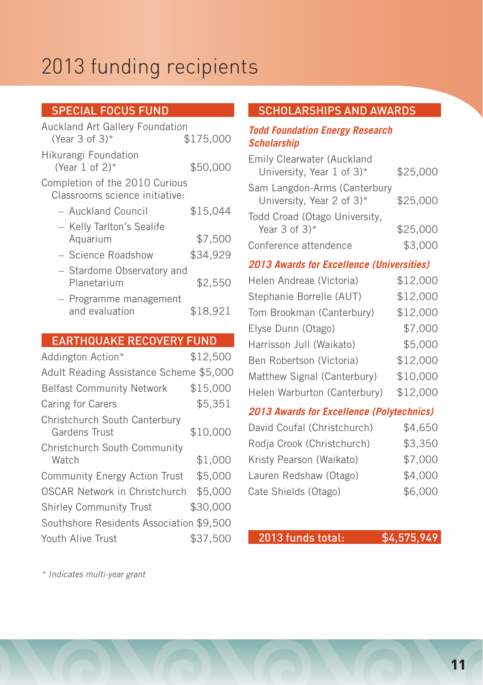# 2013 funding recipients

### **SPECIAL FOCUS FUND**

| <b>Auckland Art Gallery Foundation</b><br>(Year 3 of $3$ )*      | \$175,000 |
|------------------------------------------------------------------|-----------|
| Hikurangi Foundation<br>(Year 1 of $2$ )*                        | \$50,000  |
| Completion of the 2010 Curious<br>Classrooms science initiative: |           |
| - Auckland Council                                               | \$15,044  |
| - Kelly Tarlton's Sealife<br>Aquarium                            | \$7,500   |
| - Science Roadshow                                               | \$34,929  |
| - Stardome Observatory and<br>Planetarium                        | \$2,550   |
| - Programme management<br>and evaluation                         | \$18,921  |

### Earthquake Recovery Fund

| Addington Action*                              | \$12,500 |
|------------------------------------------------|----------|
| Adult Reading Assistance Scheme \$5,000        |          |
| <b>Belfast Community Network</b>               | \$15,000 |
| Caring for Carers                              | \$5,351  |
| Christchurch South Canterbury<br>Gardens Trust | \$10,000 |
| Christchurch South Community<br>Watch          | \$1,000  |
| <b>Community Energy Action Trust</b>           | \$5,000  |
| OSCAR Network in Christchurch                  | \$5,000  |
| <b>Shirley Community Trust</b>                 | \$30,000 |
| Southshore Residents Association \$9,500       |          |
| Youth Alive Trust                              | \$37,500 |

### Scholarships and Awards

#### *Todd Foundation Energy Research Scholarship*

| <b>Emily Clearwater (Auckland</b>                                      |          |
|------------------------------------------------------------------------|----------|
| University, Year 1 of 3)*                                              | \$25,000 |
| Sam Langdon-Arms (Canterbury<br>University, Year 2 of $3$ <sup>*</sup> | \$25,000 |
| Todd Croad (Otago University,                                          |          |
| Year $3$ of $3$ <sup>*</sup>                                           | \$25,000 |
| Conference attendence                                                  | \$3,000  |

### *2013 Awards for Excellence (Universities)*

| Helen Andreae (Victoria)     | \$12,000 |
|------------------------------|----------|
| Stephanie Borrelle (AUT)     | \$12,000 |
| Tom Brookman (Canterbury)    | \$12,000 |
| Elyse Dunn (Otago)           | \$7,000  |
| Harrisson Jull (Waikato)     | \$5,000  |
| Ben Robertson (Victoria)     | \$12,000 |
| Matthew Signal (Canterbury)  | \$10,000 |
| Helen Warburton (Canterbury) | \$12,000 |

#### *2013 Awards for Excellence (Polytechnics)*

| David Coufal (Christchurch) | \$4,650 |
|-----------------------------|---------|
| Rodja Crook (Christchurch)  | \$3,350 |
| Kristy Pearson (Waikato)    | \$7,000 |
| Lauren Redshaw (Otago)      | \$4,000 |
| Cate Shields (Otago)        | \$6,000 |

### 2013 funds total: \$4,575,949

\* Indicates multi-year grant